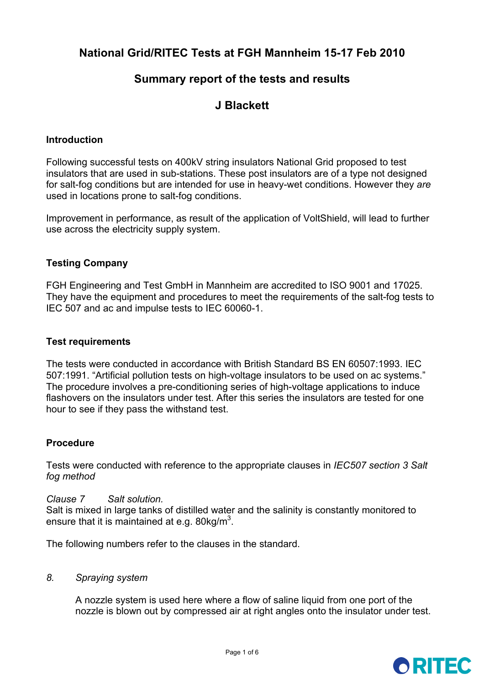# **National Grid/RITEC Tests at FGH Mannheim 15-17 Feb 2010**

# **Summary report of the tests and results**

# **J Blackett**

#### **Introduction**

Following successful tests on 400kV string insulators National Grid proposed to test insulators that are used in sub-stations. These post insulators are of a type not designed for salt-fog conditions but are intended for use in heavy-wet conditions. However they *are* used in locations prone to salt-fog conditions.

Improvement in performance, as result of the application of VoltShield, will lead to further use across the electricity supply system.

#### **Testing Company**

FGH Engineering and Test GmbH in Mannheim are accredited to ISO 9001 and 17025. They have the equipment and procedures to meet the requirements of the salt-fog tests to IEC 507 and ac and impulse tests to IEC 60060-1.

#### **Test requirements**

The tests were conducted in accordance with British Standard BS EN 60507:1993. IEC 507:1991. "Artificial pollution tests on high-voltage insulators to be used on ac systems." The procedure involves a pre-conditioning series of high-voltage applications to induce flashovers on the insulators under test. After this series the insulators are tested for one hour to see if they pass the withstand test.

#### **Procedure**

Tests were conducted with reference to the appropriate clauses in *IEC507 section 3 Salt fog method* 

#### *Clause 7 Salt solution.*

Salt is mixed in large tanks of distilled water and the salinity is constantly monitored to ensure that it is maintained at e.g. 80 kg/m<sup>3</sup>.

The following numbers refer to the clauses in the standard.

#### *8. Spraying system*

A nozzle system is used here where a flow of saline liquid from one port of the nozzle is blown out by compressed air at right angles onto the insulator under test.

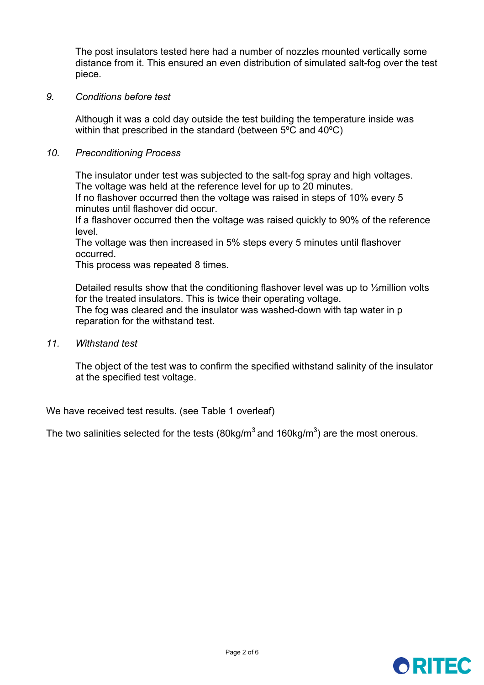The post insulators tested here had a number of nozzles mounted vertically some distance from it. This ensured an even distribution of simulated salt-fog over the test piece.

#### *9. Conditions before test*

Although it was a cold day outside the test building the temperature inside was within that prescribed in the standard (between 5ºC and 40ºC)

#### *10. Preconditioning Process*

The insulator under test was subjected to the salt-fog spray and high voltages. The voltage was held at the reference level for up to 20 minutes.

If no flashover occurred then the voltage was raised in steps of 10% every 5 minutes until flashover did occur.

If a flashover occurred then the voltage was raised quickly to 90% of the reference level.

The voltage was then increased in 5% steps every 5 minutes until flashover occurred.

This process was repeated 8 times.

Detailed results show that the conditioning flashover level was up to ½million volts for the treated insulators. This is twice their operating voltage. The fog was cleared and the insulator was washed-down with tap water in p reparation for the withstand test.

*11. Withstand test* 

The object of the test was to confirm the specified withstand salinity of the insulator at the specified test voltage.

We have received test results. (see Table 1 overleaf)

The two salinities selected for the tests (80kg/m<sup>3</sup> and 160kg/m<sup>3</sup>) are the most onerous.

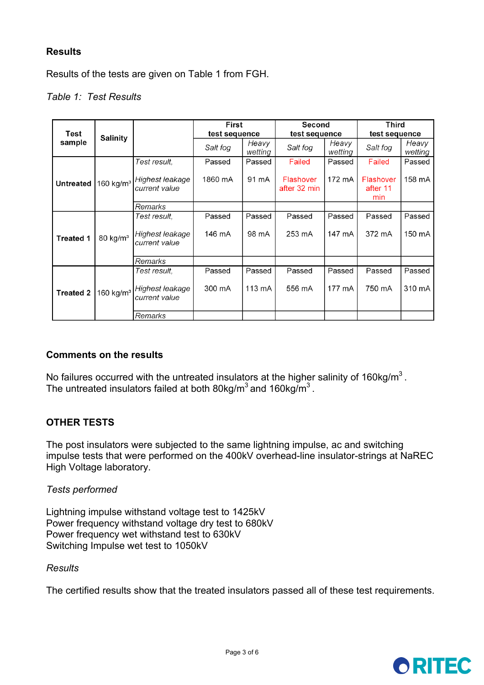# **Results**

Results of the tests are given on Table 1 from FGH.

## *Table 1: Test Results*

| Test<br>sample   | <b>Salinity</b>       |                                  | First<br>test sequence |                  | Second<br>test sequence   |                  | <b>Third</b>                 |                  |
|------------------|-----------------------|----------------------------------|------------------------|------------------|---------------------------|------------------|------------------------------|------------------|
|                  |                       |                                  |                        |                  |                           |                  | test sequence                |                  |
|                  |                       |                                  | Salt fog               | Heavy<br>wetting | Salt fog                  | Heavy<br>wetting | Salt fog                     | Heavy<br>wetting |
| <b>Untreated</b> | 160 kg/ $m3$          | Test result,                     | Passed                 | Passed           | Failed                    | Passed           | Failed                       | Passed           |
|                  |                       | Highest leakage<br>current value | 1860 mA                | 91 mA            | Flashover<br>after 32 min | 172 mA           | Flashover<br>after 11<br>min | 158 mA           |
|                  |                       | Remarks                          |                        |                  |                           |                  |                              |                  |
| <b>Treated 1</b> | 80 kg/ $m3$           | Test result,                     | Passed                 | Passed           | Passed                    | Passed           | Passed                       | Passed           |
|                  |                       | Highest leakage<br>current value | 146 mA                 | 98 mA            | 253 mA                    | 147 mA           | 372 mA                       | 150 mA           |
|                  |                       | Remarks                          |                        |                  |                           |                  |                              |                  |
| <b>Treated 2</b> | 160 kg/m <sup>3</sup> | Test result.                     | Passed                 | Passed           | Passed                    | Passed           | Passed                       | Passed           |
|                  |                       | Highest leakage<br>current value | 300 mA                 | 113 mA           | 556 mA                    | 177 mA           | 750 mA                       | 310 mA           |
|                  |                       | Remarks                          |                        |                  |                           |                  |                              |                  |

## **Comments on the results**

No failures occurred with the untreated insulators at the higher salinity of  $160 \text{kg/m}^3$ . The untreated insulators failed at both 80kg/m<sup>3</sup> and 160kg/m<sup>3</sup>.

# **OTHER TESTS**

The post insulators were subjected to the same lightning impulse, ac and switching impulse tests that were performed on the 400kV overhead-line insulator-strings at NaREC High Voltage laboratory.

## *Tests performed*

Lightning impulse withstand voltage test to 1425kV Power frequency withstand voltage dry test to 680kV Power frequency wet withstand test to 630kV Switching Impulse wet test to 1050kV

#### *Results*

The certified results show that the treated insulators passed all of these test requirements.

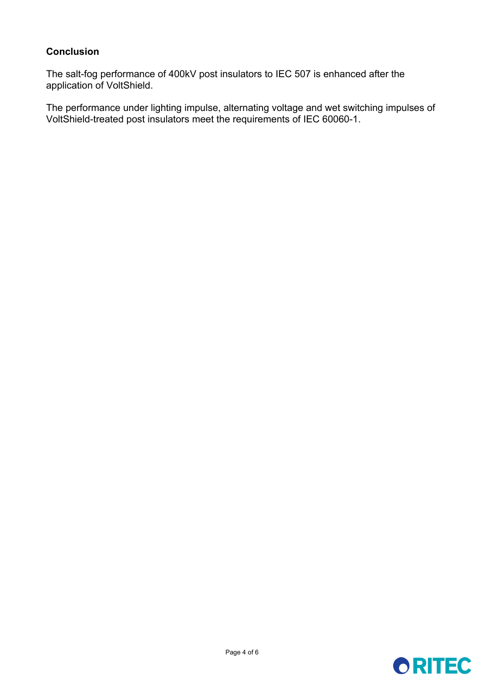## **Conclusion**

The salt-fog performance of 400kV post insulators to IEC 507 is enhanced after the application of VoltShield.

The performance under lighting impulse, alternating voltage and wet switching impulses of VoltShield-treated post insulators meet the requirements of IEC 60060-1.

# **ORITEC**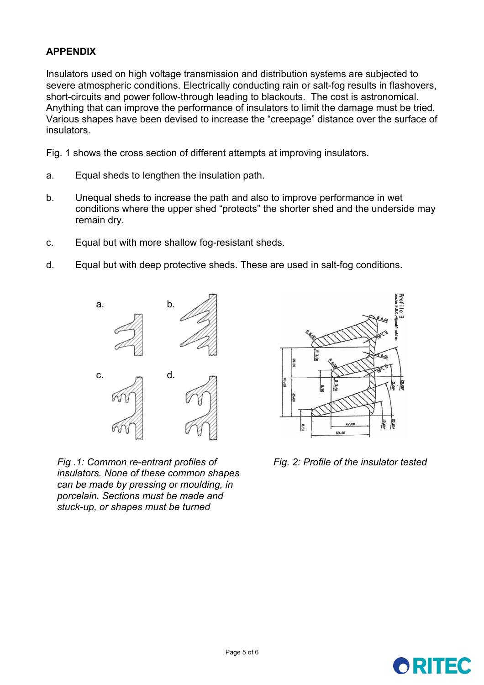# **APPENDIX**

Insulators used on high voltage transmission and distribution systems are subjected to severe atmospheric conditions. Electrically conducting rain or salt-fog results in flashovers, short-circuits and power follow-through leading to blackouts. The cost is astronomical. Anything that can improve the performance of insulators to limit the damage must be tried. Various shapes have been devised to increase the "creepage" distance over the surface of insulators.

Fig. 1 shows the cross section of different attempts at improving insulators.

- a. Equal sheds to lengthen the insulation path.
- b. Unequal sheds to increase the path and also to improve performance in wet conditions where the upper shed "protects" the shorter shed and the underside may remain dry.
- c. Equal but with more shallow fog-resistant sheds.
- d. Equal but with deep protective sheds. These are used in salt-fog conditions.



*Fig .1: Common re-entrant profiles of insulators. None of these common shapes can be made by pressing or moulding, in porcelain. Sections must be made and stuck-up, or shapes must be turned* 



*Fig. 2: Profile of the insulator tested*